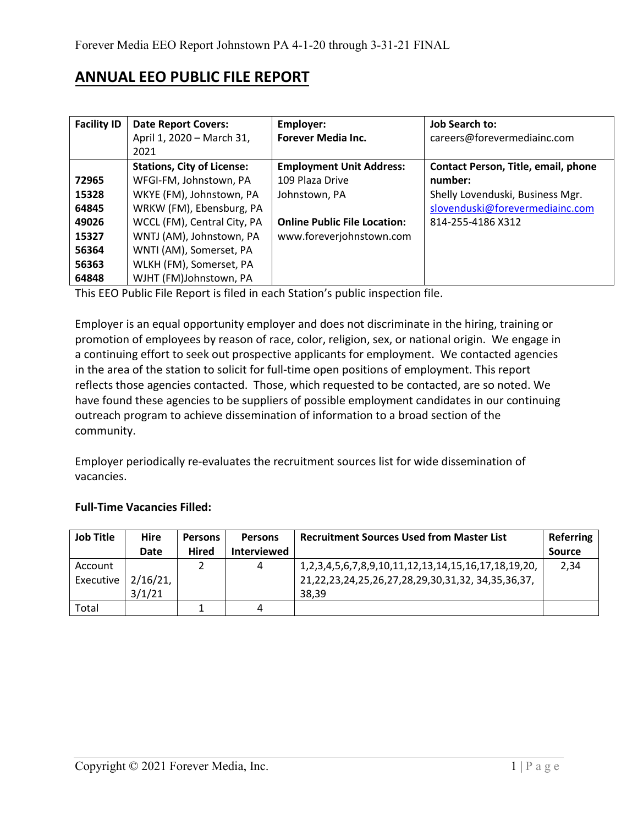# **ANNUAL EEO PUBLIC FILE REPORT**

| <b>Facility ID</b> | <b>Date Report Covers:</b>        | Employer:                           | Job Search to:                      |
|--------------------|-----------------------------------|-------------------------------------|-------------------------------------|
|                    | April 1, 2020 - March 31,         | <b>Forever Media Inc.</b>           | careers@forevermediainc.com         |
|                    | 2021                              |                                     |                                     |
|                    | <b>Stations, City of License:</b> | <b>Employment Unit Address:</b>     | Contact Person, Title, email, phone |
| 72965              | WFGI-FM, Johnstown, PA            | 109 Plaza Drive                     | number:                             |
| 15328              | WKYE (FM), Johnstown, PA          | Johnstown, PA                       | Shelly Lovenduski, Business Mgr.    |
| 64845              | WRKW (FM), Ebensburg, PA          |                                     | slovenduski@forevermediainc.com     |
| 49026              | WCCL (FM), Central City, PA       | <b>Online Public File Location:</b> | 814-255-4186 X312                   |
| 15327              | WNTJ (AM), Johnstown, PA          | www.foreverjohnstown.com            |                                     |
| 56364              | WNTI (AM), Somerset, PA           |                                     |                                     |
| 56363              | WLKH (FM), Somerset, PA           |                                     |                                     |
| 64848              | WJHT (FM)Johnstown, PA            |                                     |                                     |

This EEO Public File Report is filed in each Station's public inspection file.

Employer is an equal opportunity employer and does not discriminate in the hiring, training or promotion of employees by reason of race, color, religion, sex, or national origin. We engage in a continuing effort to seek out prospective applicants for employment. We contacted agencies in the area of the station to solicit for full-time open positions of employment. This report reflects those agencies contacted. Those, which requested to be contacted, are so noted. We have found these agencies to be suppliers of possible employment candidates in our continuing outreach program to achieve dissemination of information to a broad section of the community.

Employer periodically re-evaluates the recruitment sources list for wide dissemination of vacancies.

#### **Full-Time Vacancies Filled:**

| <b>Job Title</b> | Hire    | <b>Persons</b> | <b>Persons</b>     | <b>Recruitment Sources Used from Master List</b>                | Referring     |
|------------------|---------|----------------|--------------------|-----------------------------------------------------------------|---------------|
|                  | Date    | <b>Hired</b>   | <b>Interviewed</b> |                                                                 | <b>Source</b> |
| Account          |         |                | 4                  | 1,2,3,4,5,6,7,8,9,10,11,12,13,14,15,16,17,18,19,20,             | 2.34          |
| Executive        | 2/16/21 |                |                    | 21, 22, 23, 24, 25, 26, 27, 28, 29, 30, 31, 32, 34, 35, 36, 37, |               |
|                  | 3/1/21  |                |                    | 38,39                                                           |               |
| Total            |         |                | 4                  |                                                                 |               |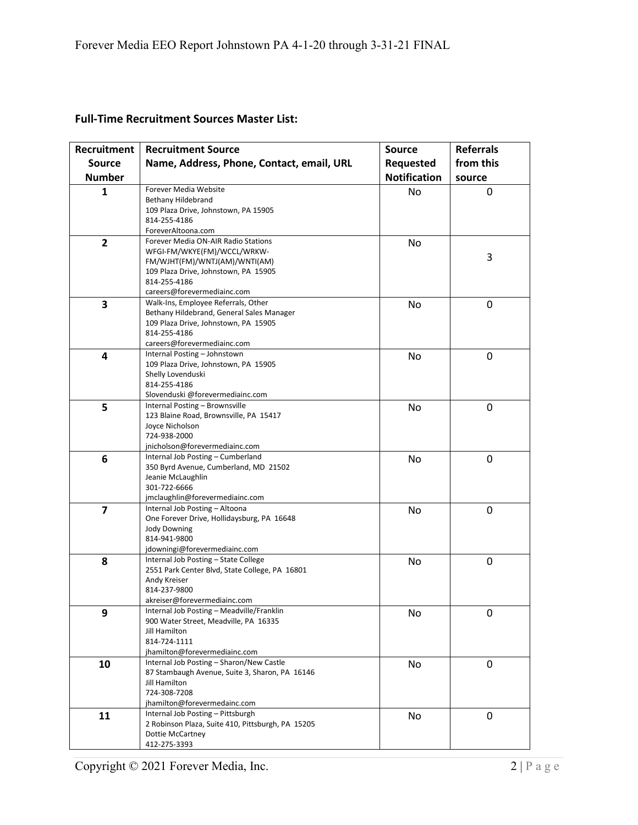### **Full-Time Recruitment Sources Master List:**

| Recruitment    | <b>Recruitment Source</b>                                                | <b>Source</b>       | <b>Referrals</b> |
|----------------|--------------------------------------------------------------------------|---------------------|------------------|
| <b>Source</b>  | Name, Address, Phone, Contact, email, URL                                | Requested           | from this        |
| <b>Number</b>  |                                                                          | <b>Notification</b> | source           |
| 1              | Forever Media Website                                                    | No                  | 0                |
|                | Bethany Hildebrand                                                       |                     |                  |
|                | 109 Plaza Drive, Johnstown, PA 15905                                     |                     |                  |
|                | 814-255-4186                                                             |                     |                  |
|                | ForeverAltoona.com<br>Forever Media ON-AIR Radio Stations                |                     |                  |
| $\overline{2}$ | WFGI-FM/WKYE(FM)/WCCL/WRKW-                                              | No                  |                  |
|                | FM/WJHT(FM)/WNTJ(AM)/WNTI(AM)                                            |                     | 3                |
|                | 109 Plaza Drive, Johnstown, PA 15905                                     |                     |                  |
|                | 814-255-4186                                                             |                     |                  |
|                | careers@forevermediainc.com                                              |                     |                  |
| 3              | Walk-Ins, Employee Referrals, Other                                      | No                  | 0                |
|                | Bethany Hildebrand, General Sales Manager                                |                     |                  |
|                | 109 Plaza Drive, Johnstown, PA 15905<br>814-255-4186                     |                     |                  |
|                | careers@forevermediainc.com                                              |                     |                  |
| 4              | Internal Posting - Johnstown                                             | No                  | 0                |
|                | 109 Plaza Drive, Johnstown, PA 15905                                     |                     |                  |
|                | Shelly Lovenduski                                                        |                     |                  |
|                | 814-255-4186                                                             |                     |                  |
|                | Slovenduski @forevermediainc.com                                         |                     |                  |
| 5              | Internal Posting - Brownsville<br>123 Blaine Road, Brownsville, PA 15417 | No                  | 0                |
|                | Joyce Nicholson                                                          |                     |                  |
|                | 724-938-2000                                                             |                     |                  |
|                | jnicholson@forevermediainc.com                                           |                     |                  |
| 6              | Internal Job Posting - Cumberland                                        | No                  | 0                |
|                | 350 Byrd Avenue, Cumberland, MD 21502                                    |                     |                  |
|                | Jeanie McLaughlin                                                        |                     |                  |
|                | 301-722-6666<br>jmclaughlin@forevermediainc.com                          |                     |                  |
|                | Internal Job Posting - Altoona                                           |                     |                  |
| 7              | One Forever Drive, Hollidaysburg, PA 16648                               | No                  | 0                |
|                | <b>Jody Downing</b>                                                      |                     |                  |
|                | 814-941-9800                                                             |                     |                  |
|                | jdowningi@forevermediainc.com                                            |                     |                  |
| 8              | Internal Job Posting - State College                                     | No                  | 0                |
|                | 2551 Park Center Blvd, State College, PA 16801<br>Andy Kreiser           |                     |                  |
|                | 814-237-9800                                                             |                     |                  |
|                | akreiser@forevermediainc.com                                             |                     |                  |
| 9              | Internal Job Posting - Meadville/Franklin                                | No                  | 0                |
|                | 900 Water Street, Meadville, PA 16335                                    |                     |                  |
|                | <b>Jill Hamilton</b>                                                     |                     |                  |
|                | 814-724-1111<br>jhamilton@forevermediainc.com                            |                     |                  |
| 10             | Internal Job Posting - Sharon/New Castle                                 |                     | 0                |
|                | 87 Stambaugh Avenue, Suite 3, Sharon, PA 16146                           | No                  |                  |
|                | Jill Hamilton                                                            |                     |                  |
|                | 724-308-7208                                                             |                     |                  |
|                | jhamilton@forevermedainc.com                                             |                     |                  |
| 11             | Internal Job Posting - Pittsburgh                                        | No                  | 0                |
|                | 2 Robinson Plaza, Suite 410, Pittsburgh, PA 15205                        |                     |                  |
|                | Dottie McCartney<br>412-275-3393                                         |                     |                  |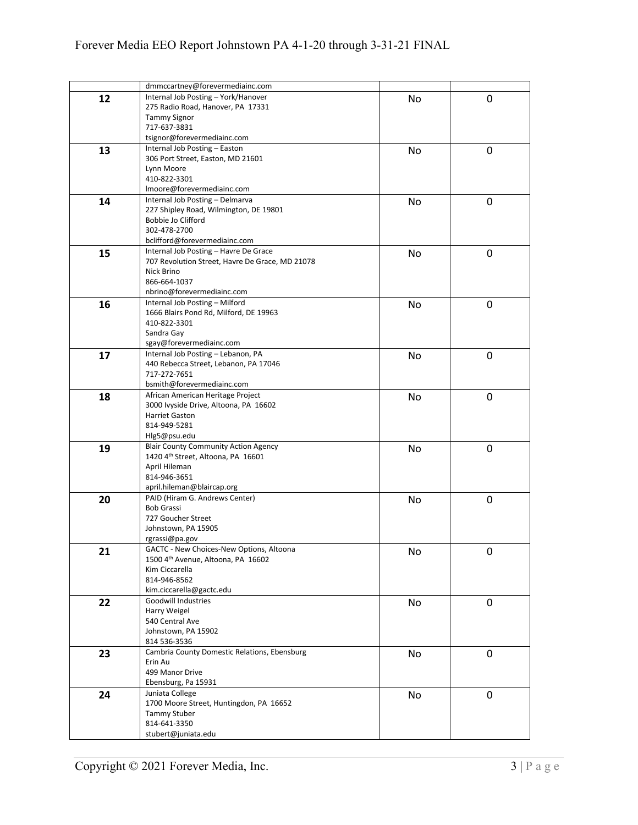|    | dmmccartney@forevermediainc.com                                             |    |             |
|----|-----------------------------------------------------------------------------|----|-------------|
| 12 | Internal Job Posting - York/Hanover                                         | No | 0           |
|    | 275 Radio Road, Hanover, PA 17331                                           |    |             |
|    | <b>Tammy Signor</b>                                                         |    |             |
|    | 717-637-3831                                                                |    |             |
|    | tsignor@forevermediainc.com                                                 |    |             |
|    | Internal Job Posting - Easton                                               |    |             |
| 13 | 306 Port Street, Easton, MD 21601                                           | No | $\mathbf 0$ |
|    |                                                                             |    |             |
|    | Lynn Moore                                                                  |    |             |
|    | 410-822-3301                                                                |    |             |
|    | Imoore@forevermediainc.com                                                  |    |             |
| 14 | Internal Job Posting - Delmarva                                             | No | 0           |
|    | 227 Shipley Road, Wilmington, DE 19801                                      |    |             |
|    | Bobbie Jo Clifford                                                          |    |             |
|    | 302-478-2700                                                                |    |             |
|    | bclifford@forevermediainc.com                                               |    |             |
| 15 | Internal Job Posting - Havre De Grace                                       | No | 0           |
|    | 707 Revolution Street, Havre De Grace, MD 21078                             |    |             |
|    | Nick Brino                                                                  |    |             |
|    | 866-664-1037                                                                |    |             |
|    | nbrino@forevermediainc.com                                                  |    |             |
| 16 | Internal Job Posting - Milford                                              | No | 0           |
|    | 1666 Blairs Pond Rd, Milford, DE 19963                                      |    |             |
|    | 410-822-3301                                                                |    |             |
|    | Sandra Gay                                                                  |    |             |
|    | sgay@forevermediainc.com                                                    |    |             |
|    |                                                                             |    |             |
| 17 | Internal Job Posting - Lebanon, PA<br>440 Rebecca Street, Lebanon, PA 17046 | No | 0           |
|    | 717-272-7651                                                                |    |             |
|    |                                                                             |    |             |
|    | bsmith@forevermediainc.com                                                  |    |             |
| 18 | African American Heritage Project                                           | No | $\mathbf 0$ |
|    | 3000 Ivyside Drive, Altoona, PA 16602                                       |    |             |
|    | Harriet Gaston                                                              |    |             |
|    | 814-949-5281                                                                |    |             |
|    | Hlg5@psu.edu                                                                |    |             |
| 19 | <b>Blair County Community Action Agency</b>                                 | No | 0           |
|    | 1420 4th Street, Altoona, PA 16601                                          |    |             |
|    | April Hileman                                                               |    |             |
|    | 814-946-3651                                                                |    |             |
|    | april.hileman@blaircap.org                                                  |    |             |
| 20 | PAID (Hiram G. Andrews Center)                                              | No | 0           |
|    | <b>Bob Grassi</b>                                                           |    |             |
|    | 727 Goucher Street                                                          |    |             |
|    | Johnstown, PA 15905                                                         |    |             |
|    | rgrassi@pa.gov                                                              |    |             |
|    | GACTC - New Choices-New Options, Altoona                                    |    |             |
| 21 | 1500 4th Avenue, Altoona, PA 16602                                          | No | 0           |
|    | Kim Ciccarella                                                              |    |             |
|    | 814-946-8562                                                                |    |             |
|    |                                                                             |    |             |
|    | kim.ciccarella@gactc.edu                                                    |    |             |
| 22 | Goodwill Industries                                                         | No | $\mathbf 0$ |
|    | Harry Weigel                                                                |    |             |
|    | 540 Central Ave                                                             |    |             |
|    | Johnstown, PA 15902                                                         |    |             |
|    | 814 536-3536                                                                |    |             |
| 23 | Cambria County Domestic Relations, Ebensburg                                | No | 0           |
|    | Erin Au                                                                     |    |             |
|    | 499 Manor Drive                                                             |    |             |
|    | Ebensburg, Pa 15931                                                         |    |             |
| 24 | Juniata College                                                             | No | 0           |
|    | 1700 Moore Street, Huntingdon, PA 16652                                     |    |             |
|    | <b>Tammy Stuber</b>                                                         |    |             |
|    | 814-641-3350                                                                |    |             |
|    | stubert@juniata.edu                                                         |    |             |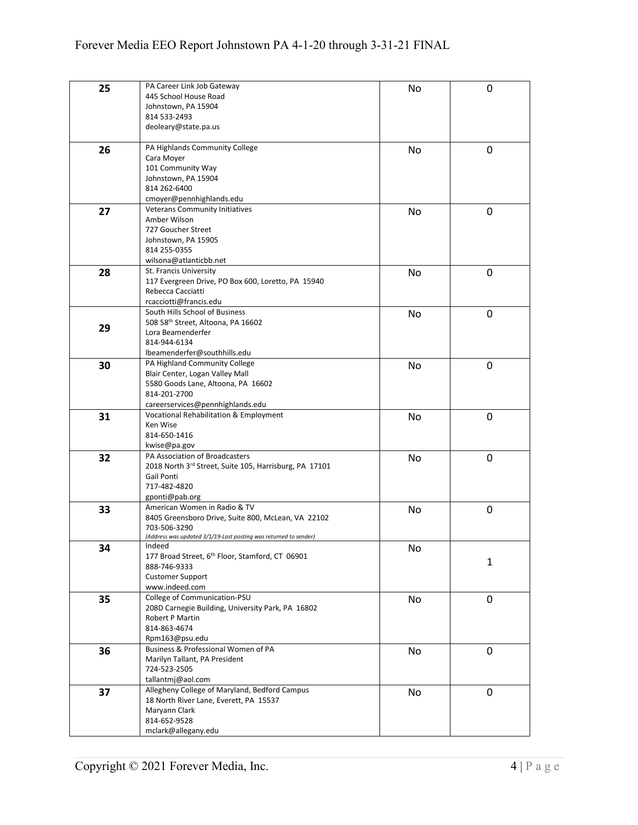| 25 | PA Career Link Job Gateway<br>445 School House Road<br>Johnstown, PA 15904<br>814 533-2493<br>deoleary@state.pa.us                                                     | No | 0            |
|----|------------------------------------------------------------------------------------------------------------------------------------------------------------------------|----|--------------|
| 26 | PA Highlands Community College<br>Cara Moyer<br>101 Community Way                                                                                                      | No | 0            |
|    | Johnstown, PA 15904<br>814 262-6400<br>cmoyer@pennhighlands.edu                                                                                                        |    |              |
| 27 | Veterans Community Initiatives<br>Amber Wilson<br>727 Goucher Street<br>Johnstown, PA 15905<br>814 255-0355<br>wilsona@atlanticbb.net                                  | No | 0            |
| 28 | St. Francis University<br>117 Evergreen Drive, PO Box 600, Loretto, PA 15940<br>Rebecca Cacciatti<br>rcacciotti@francis.edu                                            | No | 0            |
| 29 | South Hills School of Business<br>508 58th Street, Altoona, PA 16602<br>Lora Beamenderfer<br>814-944-6134<br>lbeamenderfer@southhills.edu                              | No | 0            |
| 30 | PA Highland Community College<br>Blair Center, Logan Valley Mall<br>5580 Goods Lane, Altoona, PA 16602<br>814-201-2700<br>careerservices@pennhighlands.edu             | No | 0            |
| 31 | Vocational Rehabilitation & Employment<br>Ken Wise<br>814-650-1416<br>kwise@pa.gov                                                                                     | No | 0            |
| 32 | PA Association of Broadcasters<br>2018 North 3rd Street, Suite 105, Harrisburg, PA 17101<br>Gail Ponti<br>717-482-4820<br>gponti@pab.org                               | No | 0            |
| 33 | American Women in Radio & TV<br>8405 Greensboro Drive, Suite 800, McLean, VA 22102<br>703-506-3290<br>(Address was updated 3/1/19-Last posting was returned to sender) | No | 0            |
| 34 | Indeed<br>177 Broad Street, 6th Floor, Stamford, CT 06901<br>888-746-9333<br><b>Customer Support</b><br>www.indeed.com                                                 | No | $\mathbf{1}$ |
| 35 | College of Communication-PSU<br>208D Carnegie Building, University Park, PA 16802<br>Robert P Martin<br>814-863-4674<br>Rpm163@psu.edu                                 | No | 0            |
| 36 | Business & Professional Women of PA<br>Marilyn Tallant, PA President<br>724-523-2505<br>tallantmj@aol.com                                                              | No | 0            |
| 37 | Allegheny College of Maryland, Bedford Campus<br>18 North River Lane, Everett, PA 15537<br>Maryann Clark<br>814-652-9528<br>mclark@allegany.edu                        | No | 0            |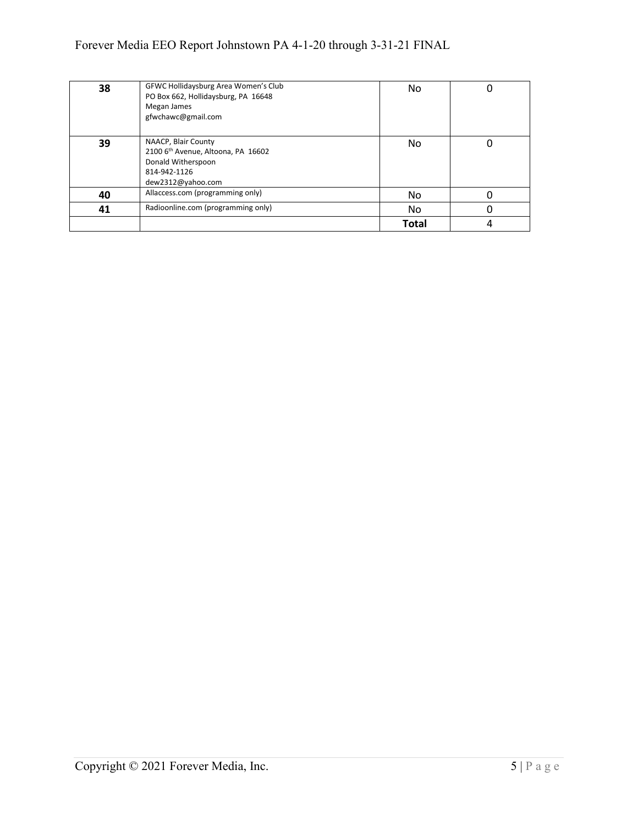## Forever Media EEO Report Johnstown PA 4-1-20 through 3-31-21 FINAL

| 38 | GFWC Hollidaysburg Area Women's Club<br>PO Box 662, Hollidaysburg, PA 16648<br>Megan James<br>gfwchawc@gmail.com     | No.          |  |
|----|----------------------------------------------------------------------------------------------------------------------|--------------|--|
| 39 | NAACP, Blair County<br>2100 6th Avenue, Altoona, PA 16602<br>Donald Witherspoon<br>814-942-1126<br>dew2312@yahoo.com | No.          |  |
| 40 | Allaccess.com (programming only)                                                                                     | No           |  |
| 41 | Radioonline.com (programming only)                                                                                   | No.          |  |
|    |                                                                                                                      | <b>Total</b> |  |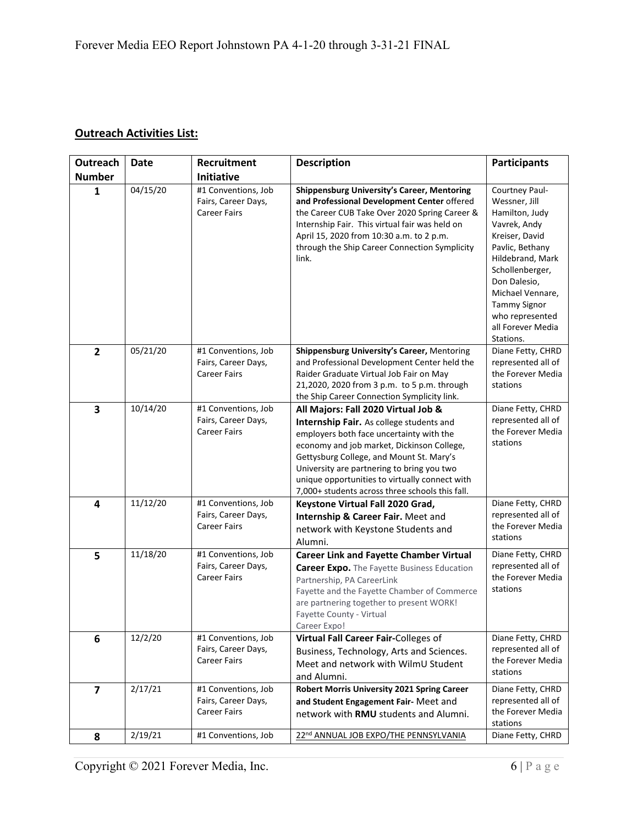## **Outreach Activities List:**

| Outreach                | <b>Date</b> | Recruitment                                                       | <b>Description</b>                                                                                                                                                                                                                                                                                                                                                              | <b>Participants</b>                                                                                                                                                                                                                                           |
|-------------------------|-------------|-------------------------------------------------------------------|---------------------------------------------------------------------------------------------------------------------------------------------------------------------------------------------------------------------------------------------------------------------------------------------------------------------------------------------------------------------------------|---------------------------------------------------------------------------------------------------------------------------------------------------------------------------------------------------------------------------------------------------------------|
| <b>Number</b>           |             | <b>Initiative</b>                                                 |                                                                                                                                                                                                                                                                                                                                                                                 |                                                                                                                                                                                                                                                               |
| 1                       | 04/15/20    | #1 Conventions, Job<br>Fairs, Career Days,<br><b>Career Fairs</b> | <b>Shippensburg University's Career, Mentoring</b><br>and Professional Development Center offered<br>the Career CUB Take Over 2020 Spring Career &<br>Internship Fair. This virtual fair was held on<br>April 15, 2020 from 10:30 a.m. to 2 p.m.<br>through the Ship Career Connection Symplicity<br>link.                                                                      | Courtney Paul-<br>Wessner, Jill<br>Hamilton, Judy<br>Vavrek, Andy<br>Kreiser, David<br>Pavlic, Bethany<br>Hildebrand, Mark<br>Schollenberger,<br>Don Dalesio,<br>Michael Vennare,<br><b>Tammy Signor</b><br>who represented<br>all Forever Media<br>Stations. |
| $\overline{2}$          | 05/21/20    | #1 Conventions, Job<br>Fairs, Career Days,<br><b>Career Fairs</b> | Shippensburg University's Career, Mentoring<br>and Professional Development Center held the<br>Raider Graduate Virtual Job Fair on May<br>21,2020, 2020 from 3 p.m. to 5 p.m. through<br>the Ship Career Connection Symplicity link.                                                                                                                                            | Diane Fetty, CHRD<br>represented all of<br>the Forever Media<br>stations                                                                                                                                                                                      |
| $\overline{\mathbf{3}}$ | 10/14/20    | #1 Conventions, Job<br>Fairs, Career Days,<br><b>Career Fairs</b> | All Majors: Fall 2020 Virtual Job &<br><b>Internship Fair.</b> As college students and<br>employers both face uncertainty with the<br>economy and job market, Dickinson College,<br>Gettysburg College, and Mount St. Mary's<br>University are partnering to bring you two<br>unique opportunities to virtually connect with<br>7,000+ students across three schools this fall. | Diane Fetty, CHRD<br>represented all of<br>the Forever Media<br>stations                                                                                                                                                                                      |
| 4                       | 11/12/20    | #1 Conventions, Job<br>Fairs, Career Days,<br><b>Career Fairs</b> | Keystone Virtual Fall 2020 Grad,<br>Internship & Career Fair. Meet and<br>network with Keystone Students and<br>Alumni.                                                                                                                                                                                                                                                         | Diane Fetty, CHRD<br>represented all of<br>the Forever Media<br>stations                                                                                                                                                                                      |
| 5                       | 11/18/20    | #1 Conventions, Job<br>Fairs, Career Days,<br><b>Career Fairs</b> | <b>Career Link and Fayette Chamber Virtual</b><br><b>Career Expo.</b> The Fayette Business Education<br>Partnership, PA CareerLink<br>Fayette and the Fayette Chamber of Commerce<br>are partnering together to present WORK!<br>Fayette County - Virtual<br>Career Expo!                                                                                                       | Diane Fetty, CHRD<br>represented all of<br>the Forever Media<br>stations                                                                                                                                                                                      |
| 6                       | 12/2/20     | #1 Conventions, Job<br>Fairs, Career Days,<br><b>Career Fairs</b> | Virtual Fall Career Fair-Colleges of<br>Business, Technology, Arts and Sciences.<br>Meet and network with WilmU Student<br>and Alumni.                                                                                                                                                                                                                                          | Diane Fetty, CHRD<br>represented all of<br>the Forever Media<br>stations                                                                                                                                                                                      |
| $\overline{\mathbf{z}}$ | 2/17/21     | #1 Conventions, Job<br>Fairs, Career Days,<br><b>Career Fairs</b> | Robert Morris University 2021 Spring Career<br>and Student Engagement Fair- Meet and<br>network with RMU students and Alumni.                                                                                                                                                                                                                                                   | Diane Fetty, CHRD<br>represented all of<br>the Forever Media<br>stations                                                                                                                                                                                      |
| 8                       | 2/19/21     | #1 Conventions, Job                                               | 22nd ANNUAL JOB EXPO/THE PENNSYLVANIA                                                                                                                                                                                                                                                                                                                                           | Diane Fetty, CHRD                                                                                                                                                                                                                                             |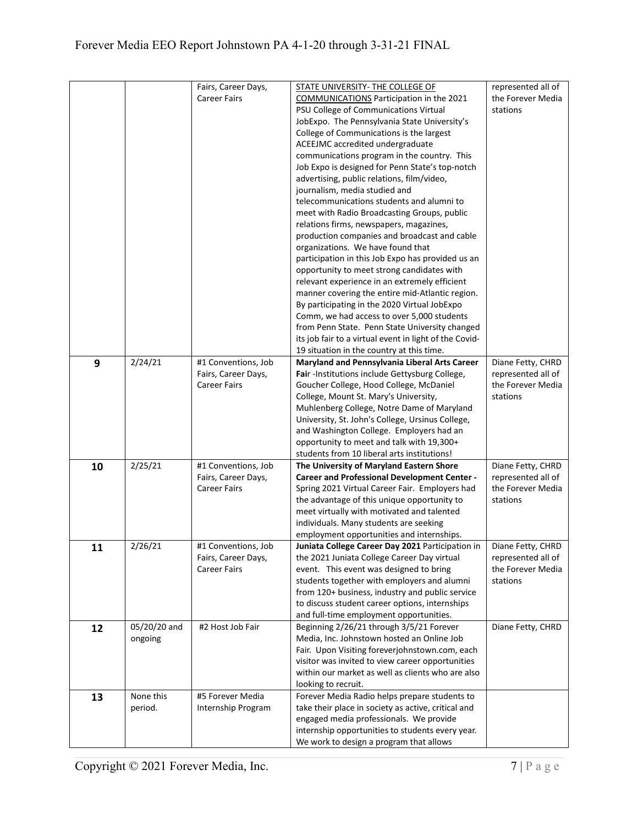|    |              | Fairs, Career Days, | <b>STATE UNIVERSITY- THE COLLEGE OF</b>                                                               | represented all of |
|----|--------------|---------------------|-------------------------------------------------------------------------------------------------------|--------------------|
|    |              | <b>Career Fairs</b> | COMMUNICATIONS Participation in the 2021                                                              | the Forever Media  |
|    |              |                     | PSU College of Communications Virtual                                                                 | stations           |
|    |              |                     |                                                                                                       |                    |
|    |              |                     | JobExpo. The Pennsylvania State University's                                                          |                    |
|    |              |                     | College of Communications is the largest                                                              |                    |
|    |              |                     | ACEEJMC accredited undergraduate                                                                      |                    |
|    |              |                     | communications program in the country. This                                                           |                    |
|    |              |                     | Job Expo is designed for Penn State's top-notch                                                       |                    |
|    |              |                     | advertising, public relations, film/video,                                                            |                    |
|    |              |                     | journalism, media studied and                                                                         |                    |
|    |              |                     | telecommunications students and alumni to                                                             |                    |
|    |              |                     | meet with Radio Broadcasting Groups, public                                                           |                    |
|    |              |                     | relations firms, newspapers, magazines,                                                               |                    |
|    |              |                     | production companies and broadcast and cable                                                          |                    |
|    |              |                     | organizations. We have found that                                                                     |                    |
|    |              |                     | participation in this Job Expo has provided us an                                                     |                    |
|    |              |                     | opportunity to meet strong candidates with                                                            |                    |
|    |              |                     | relevant experience in an extremely efficient                                                         |                    |
|    |              |                     | manner covering the entire mid-Atlantic region.                                                       |                    |
|    |              |                     | By participating in the 2020 Virtual JobExpo                                                          |                    |
|    |              |                     | Comm, we had access to over 5,000 students                                                            |                    |
|    |              |                     | from Penn State. Penn State University changed                                                        |                    |
|    |              |                     | its job fair to a virtual event in light of the Covid-                                                |                    |
|    |              |                     | 19 situation in the country at this time.                                                             |                    |
| 9  | 2/24/21      | #1 Conventions, Job | Maryland and Pennsylvania Liberal Arts Career                                                         | Diane Fetty, CHRD  |
|    |              | Fairs, Career Days, | Fair -Institutions include Gettysburg College,                                                        | represented all of |
|    |              | <b>Career Fairs</b> | Goucher College, Hood College, McDaniel                                                               | the Forever Media  |
|    |              |                     | College, Mount St. Mary's University,                                                                 | stations           |
|    |              |                     | Muhlenberg College, Notre Dame of Maryland                                                            |                    |
|    |              |                     | University, St. John's College, Ursinus College,                                                      |                    |
|    |              |                     | and Washington College. Employers had an                                                              |                    |
|    |              |                     | opportunity to meet and talk with 19,300+                                                             |                    |
|    |              |                     | students from 10 liberal arts institutions!                                                           |                    |
| 10 | 2/25/21      | #1 Conventions, Job | The University of Maryland Eastern Shore                                                              | Diane Fetty, CHRD  |
|    |              | Fairs, Career Days, | <b>Career and Professional Development Center -</b>                                                   | represented all of |
|    |              | <b>Career Fairs</b> | Spring 2021 Virtual Career Fair. Employers had                                                        | the Forever Media  |
|    |              |                     | the advantage of this unique opportunity to                                                           | stations           |
|    |              |                     | meet virtually with motivated and talented                                                            |                    |
|    |              |                     | individuals. Many students are seeking                                                                |                    |
|    |              |                     | employment opportunities and internships.                                                             |                    |
|    | 2/26/21      | #1 Conventions, Job | Juniata College Career Day 2021 Participation in   Diane Fetty, CHRD                                  |                    |
| 11 |              | Fairs, Career Days, | the 2021 Juniata College Career Day virtual                                                           | represented all of |
|    |              | <b>Career Fairs</b> | event. This event was designed to bring                                                               | the Forever Media  |
|    |              |                     | students together with employers and alumni                                                           | stations           |
|    |              |                     | from 120+ business, industry and public service                                                       |                    |
|    |              |                     | to discuss student career options, internships                                                        |                    |
|    |              |                     | and full-time employment opportunities.                                                               |                    |
| 12 | 05/20/20 and | #2 Host Job Fair    | Beginning 2/26/21 through 3/5/21 Forever                                                              | Diane Fetty, CHRD  |
|    | ongoing      |                     | Media, Inc. Johnstown hosted an Online Job                                                            |                    |
|    |              |                     | Fair. Upon Visiting foreverjohnstown.com, each                                                        |                    |
|    |              |                     |                                                                                                       |                    |
|    |              |                     | visitor was invited to view career opportunities<br>within our market as well as clients who are also |                    |
|    |              |                     |                                                                                                       |                    |
|    |              |                     | looking to recruit.                                                                                   |                    |
| 13 | None this    | #5 Forever Media    | Forever Media Radio helps prepare students to                                                         |                    |
|    | period.      | Internship Program  | take their place in society as active, critical and                                                   |                    |
|    |              |                     | engaged media professionals. We provide                                                               |                    |
|    |              |                     | internship opportunities to students every year.                                                      |                    |
|    |              |                     | We work to design a program that allows                                                               |                    |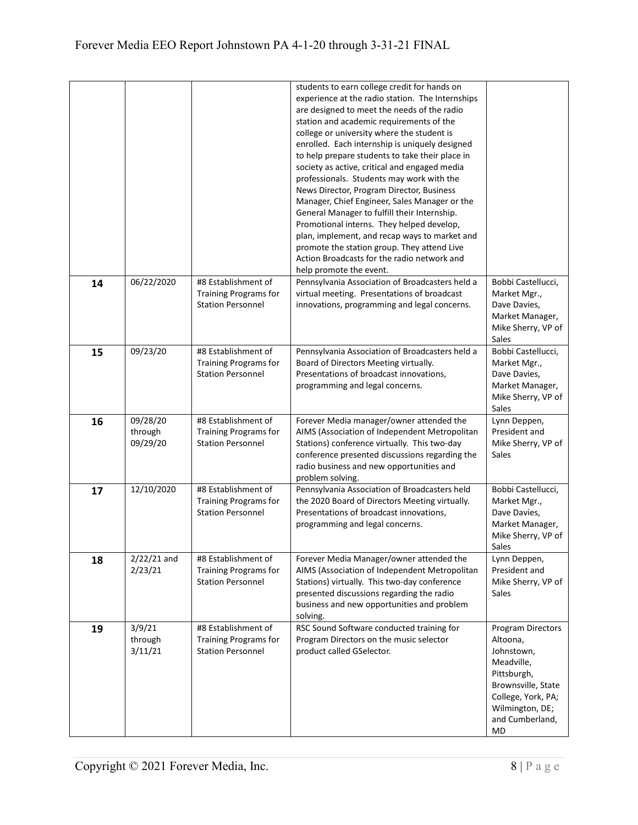|    |                                 |                                                                                 | students to earn college credit for hands on<br>experience at the radio station. The Internships<br>are designed to meet the needs of the radio<br>station and academic requirements of the<br>college or university where the student is<br>enrolled. Each internship is uniquely designed<br>to help prepare students to take their place in<br>society as active, critical and engaged media<br>professionals. Students may work with the<br>News Director, Program Director, Business<br>Manager, Chief Engineer, Sales Manager or the<br>General Manager to fulfill their Internship.<br>Promotional interns. They helped develop,<br>plan, implement, and recap ways to market and<br>promote the station group. They attend Live<br>Action Broadcasts for the radio network and<br>help promote the event. |                                                                                                                                                                  |
|----|---------------------------------|---------------------------------------------------------------------------------|-------------------------------------------------------------------------------------------------------------------------------------------------------------------------------------------------------------------------------------------------------------------------------------------------------------------------------------------------------------------------------------------------------------------------------------------------------------------------------------------------------------------------------------------------------------------------------------------------------------------------------------------------------------------------------------------------------------------------------------------------------------------------------------------------------------------|------------------------------------------------------------------------------------------------------------------------------------------------------------------|
| 14 | 06/22/2020                      | #8 Establishment of<br><b>Training Programs for</b><br><b>Station Personnel</b> | Pennsylvania Association of Broadcasters held a<br>virtual meeting. Presentations of broadcast<br>innovations, programming and legal concerns.                                                                                                                                                                                                                                                                                                                                                                                                                                                                                                                                                                                                                                                                    | Bobbi Castellucci,<br>Market Mgr.,<br>Dave Davies,<br>Market Manager,<br>Mike Sherry, VP of<br>Sales                                                             |
| 15 | 09/23/20                        | #8 Establishment of<br><b>Training Programs for</b><br><b>Station Personnel</b> | Pennsylvania Association of Broadcasters held a<br>Board of Directors Meeting virtually.<br>Presentations of broadcast innovations,<br>programming and legal concerns.                                                                                                                                                                                                                                                                                                                                                                                                                                                                                                                                                                                                                                            | Bobbi Castellucci,<br>Market Mgr.,<br>Dave Davies,<br>Market Manager,<br>Mike Sherry, VP of<br>Sales                                                             |
| 16 | 09/28/20<br>through<br>09/29/20 | #8 Establishment of<br><b>Training Programs for</b><br><b>Station Personnel</b> | Forever Media manager/owner attended the<br>AIMS (Association of Independent Metropolitan<br>Stations) conference virtually. This two-day<br>conference presented discussions regarding the<br>radio business and new opportunities and<br>problem solving.                                                                                                                                                                                                                                                                                                                                                                                                                                                                                                                                                       | Lynn Deppen,<br>President and<br>Mike Sherry, VP of<br>Sales                                                                                                     |
| 17 | 12/10/2020                      | #8 Establishment of<br><b>Training Programs for</b><br><b>Station Personnel</b> | Pennsylvania Association of Broadcasters held<br>the 2020 Board of Directors Meeting virtually.<br>Presentations of broadcast innovations,<br>programming and legal concerns.                                                                                                                                                                                                                                                                                                                                                                                                                                                                                                                                                                                                                                     | Bobbi Castellucci,<br>Market Mgr.,<br>Dave Davies,<br>Market Manager,<br>Mike Sherry, VP of<br>Sales                                                             |
| 18 | $2/22/21$ and<br>2/23/21        | #8 Establishment of<br>Training Programs for<br><b>Station Personnel</b>        | Forever Media Manager/owner attended the<br>AIMS (Association of Independent Metropolitan<br>Stations) virtually. This two-day conference<br>presented discussions regarding the radio<br>business and new opportunities and problem<br>solving.                                                                                                                                                                                                                                                                                                                                                                                                                                                                                                                                                                  | Lynn Deppen,<br>President and<br>Mike Sherry, VP of<br>Sales                                                                                                     |
| 19 | 3/9/21<br>through<br>3/11/21    | #8 Establishment of<br>Training Programs for<br><b>Station Personnel</b>        | RSC Sound Software conducted training for<br>Program Directors on the music selector<br>product called GSelector.                                                                                                                                                                                                                                                                                                                                                                                                                                                                                                                                                                                                                                                                                                 | Program Directors<br>Altoona,<br>Johnstown,<br>Meadville,<br>Pittsburgh,<br>Brownsville, State<br>College, York, PA;<br>Wilmington, DE;<br>and Cumberland,<br>MD |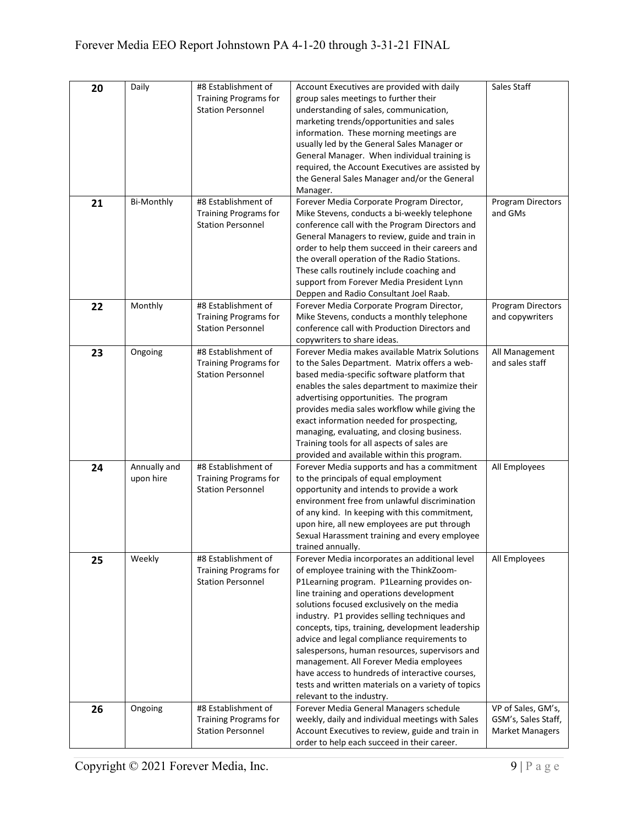| 20 | Daily                     | #8 Establishment of<br><b>Training Programs for</b><br><b>Station Personnel</b> | Account Executives are provided with daily<br>group sales meetings to further their<br>understanding of sales, communication,<br>marketing trends/opportunities and sales<br>information. These morning meetings are<br>usually led by the General Sales Manager or<br>General Manager. When individual training is<br>required, the Account Executives are assisted by<br>the General Sales Manager and/or the General<br>Manager.                                                                                                                                                                                       | Sales Staff                                                         |
|----|---------------------------|---------------------------------------------------------------------------------|---------------------------------------------------------------------------------------------------------------------------------------------------------------------------------------------------------------------------------------------------------------------------------------------------------------------------------------------------------------------------------------------------------------------------------------------------------------------------------------------------------------------------------------------------------------------------------------------------------------------------|---------------------------------------------------------------------|
| 21 | Bi-Monthly                | #8 Establishment of<br><b>Training Programs for</b><br><b>Station Personnel</b> | Forever Media Corporate Program Director,<br>Mike Stevens, conducts a bi-weekly telephone<br>conference call with the Program Directors and<br>General Managers to review, guide and train in<br>order to help them succeed in their careers and<br>the overall operation of the Radio Stations.<br>These calls routinely include coaching and<br>support from Forever Media President Lynn<br>Deppen and Radio Consultant Joel Raab.                                                                                                                                                                                     | <b>Program Directors</b><br>and GMs                                 |
| 22 | Monthly                   | #8 Establishment of<br>Training Programs for<br><b>Station Personnel</b>        | Forever Media Corporate Program Director,<br>Mike Stevens, conducts a monthly telephone<br>conference call with Production Directors and<br>copywriters to share ideas.                                                                                                                                                                                                                                                                                                                                                                                                                                                   | Program Directors<br>and copywriters                                |
| 23 | Ongoing                   | #8 Establishment of<br><b>Training Programs for</b><br><b>Station Personnel</b> | Forever Media makes available Matrix Solutions<br>to the Sales Department. Matrix offers a web-<br>based media-specific software platform that<br>enables the sales department to maximize their<br>advertising opportunities. The program<br>provides media sales workflow while giving the<br>exact information needed for prospecting,<br>managing, evaluating, and closing business.<br>Training tools for all aspects of sales are<br>provided and available within this program.                                                                                                                                    | All Management<br>and sales staff                                   |
| 24 | Annually and<br>upon hire | #8 Establishment of<br><b>Training Programs for</b><br><b>Station Personnel</b> | Forever Media supports and has a commitment<br>to the principals of equal employment<br>opportunity and intends to provide a work<br>environment free from unlawful discrimination<br>of any kind. In keeping with this commitment,<br>upon hire, all new employees are put through<br>Sexual Harassment training and every employee<br>trained annually.                                                                                                                                                                                                                                                                 | All Employees                                                       |
| 25 | Weekly                    | #8 Establishment of<br><b>Training Programs for</b><br><b>Station Personnel</b> | Forever Media incorporates an additional level<br>of employee training with the ThinkZoom-<br>P1Learning program. P1Learning provides on-<br>line training and operations development<br>solutions focused exclusively on the media<br>industry. P1 provides selling techniques and<br>concepts, tips, training, development leadership<br>advice and legal compliance requirements to<br>salespersons, human resources, supervisors and<br>management. All Forever Media employees<br>have access to hundreds of interactive courses,<br>tests and written materials on a variety of topics<br>relevant to the industry. | All Employees                                                       |
| 26 | Ongoing                   | #8 Establishment of<br><b>Training Programs for</b><br><b>Station Personnel</b> | Forever Media General Managers schedule<br>weekly, daily and individual meetings with Sales<br>Account Executives to review, guide and train in<br>order to help each succeed in their career.                                                                                                                                                                                                                                                                                                                                                                                                                            | VP of Sales, GM's,<br>GSM's, Sales Staff,<br><b>Market Managers</b> |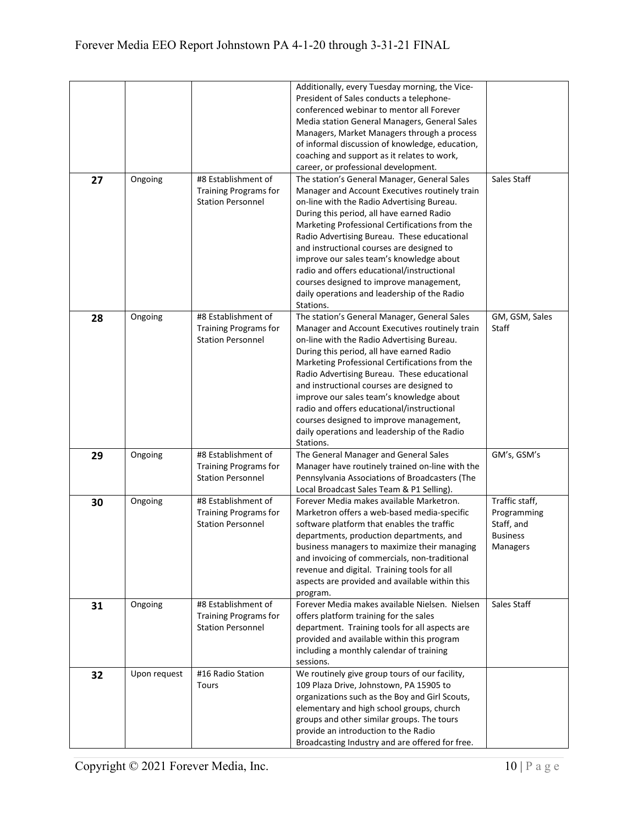|    |              |                              | Additionally, every Tuesday morning, the Vice-  |                 |
|----|--------------|------------------------------|-------------------------------------------------|-----------------|
|    |              |                              | President of Sales conducts a telephone-        |                 |
|    |              |                              | conferenced webinar to mentor all Forever       |                 |
|    |              |                              | Media station General Managers, General Sales   |                 |
|    |              |                              | Managers, Market Managers through a process     |                 |
|    |              |                              | of informal discussion of knowledge, education, |                 |
|    |              |                              | coaching and support as it relates to work,     |                 |
|    |              |                              | career, or professional development.            |                 |
|    |              | #8 Establishment of          |                                                 | Sales Staff     |
| 27 | Ongoing      |                              | The station's General Manager, General Sales    |                 |
|    |              | <b>Training Programs for</b> | Manager and Account Executives routinely train  |                 |
|    |              | <b>Station Personnel</b>     | on-line with the Radio Advertising Bureau.      |                 |
|    |              |                              | During this period, all have earned Radio       |                 |
|    |              |                              | Marketing Professional Certifications from the  |                 |
|    |              |                              | Radio Advertising Bureau. These educational     |                 |
|    |              |                              | and instructional courses are designed to       |                 |
|    |              |                              | improve our sales team's knowledge about        |                 |
|    |              |                              | radio and offers educational/instructional      |                 |
|    |              |                              | courses designed to improve management,         |                 |
|    |              |                              | daily operations and leadership of the Radio    |                 |
|    |              |                              | Stations.                                       |                 |
| 28 | Ongoing      | #8 Establishment of          | The station's General Manager, General Sales    | GM, GSM, Sales  |
|    |              | <b>Training Programs for</b> | Manager and Account Executives routinely train  | Staff           |
|    |              | <b>Station Personnel</b>     | on-line with the Radio Advertising Bureau.      |                 |
|    |              |                              | During this period, all have earned Radio       |                 |
|    |              |                              | Marketing Professional Certifications from the  |                 |
|    |              |                              | Radio Advertising Bureau. These educational     |                 |
|    |              |                              | and instructional courses are designed to       |                 |
|    |              |                              | improve our sales team's knowledge about        |                 |
|    |              |                              | radio and offers educational/instructional      |                 |
|    |              |                              | courses designed to improve management,         |                 |
|    |              |                              | daily operations and leadership of the Radio    |                 |
|    |              |                              | Stations.                                       |                 |
| 29 | Ongoing      | #8 Establishment of          | The General Manager and General Sales           | GM's, GSM's     |
|    |              | <b>Training Programs for</b> | Manager have routinely trained on-line with the |                 |
|    |              | <b>Station Personnel</b>     | Pennsylvania Associations of Broadcasters (The  |                 |
|    |              |                              | Local Broadcast Sales Team & P1 Selling).       |                 |
| 30 | Ongoing      | #8 Establishment of          | Forever Media makes available Marketron.        | Traffic staff,  |
|    |              | <b>Training Programs for</b> | Marketron offers a web-based media-specific     | Programming     |
|    |              | <b>Station Personnel</b>     | software platform that enables the traffic      | Staff, and      |
|    |              |                              | departments, production departments, and        | <b>Business</b> |
|    |              |                              | business managers to maximize their managing    | Managers        |
|    |              |                              | and invoicing of commercials, non-traditional   |                 |
|    |              |                              | revenue and digital. Training tools for all     |                 |
|    |              |                              | aspects are provided and available within this  |                 |
|    |              |                              | program.                                        |                 |
| 31 | Ongoing      | #8 Establishment of          | Forever Media makes available Nielsen. Nielsen  | Sales Staff     |
|    |              | <b>Training Programs for</b> | offers platform training for the sales          |                 |
|    |              | <b>Station Personnel</b>     | department. Training tools for all aspects are  |                 |
|    |              |                              | provided and available within this program      |                 |
|    |              |                              | including a monthly calendar of training        |                 |
|    |              |                              | sessions.                                       |                 |
| 32 | Upon request | #16 Radio Station            | We routinely give group tours of our facility,  |                 |
|    |              | Tours                        | 109 Plaza Drive, Johnstown, PA 15905 to         |                 |
|    |              |                              | organizations such as the Boy and Girl Scouts,  |                 |
|    |              |                              | elementary and high school groups, church       |                 |
|    |              |                              | groups and other similar groups. The tours      |                 |
|    |              |                              | provide an introduction to the Radio            |                 |
|    |              |                              | Broadcasting Industry and are offered for free. |                 |